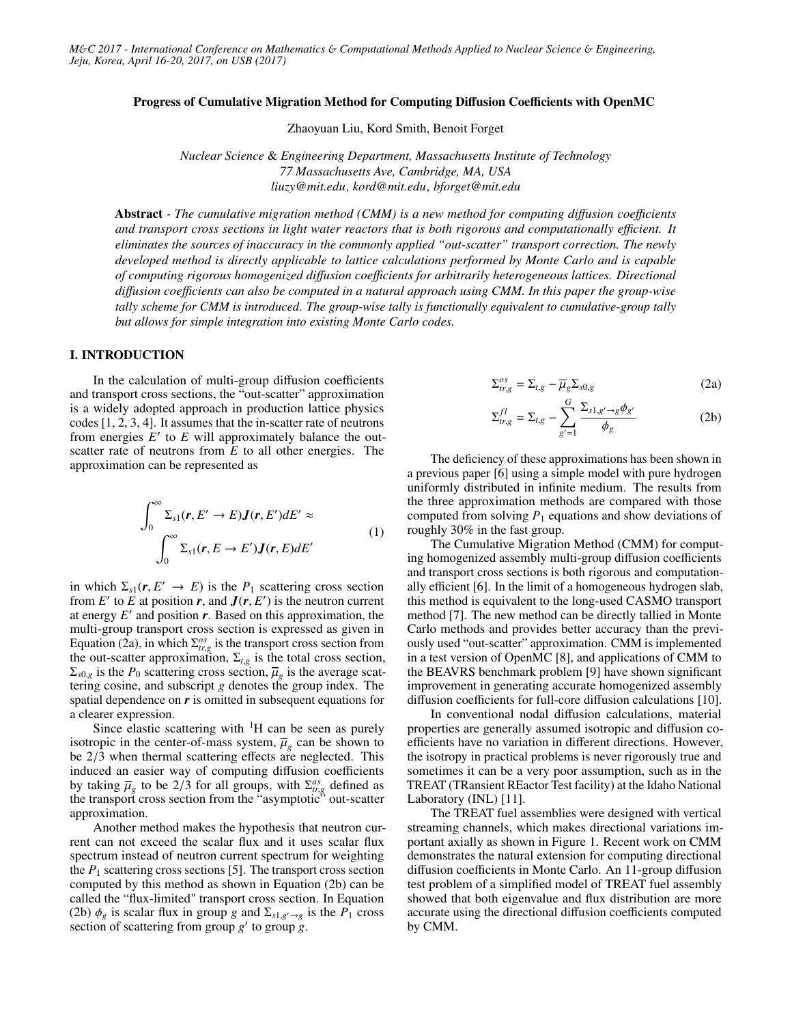#### Progress of Cumulative Migration Method for Computing Diffusion Coefficients with OpenMC

Zhaoyuan Liu, Kord Smith, Benoit Forget

*Nuclear Science* & *Engineering Department, Massachusetts Institute of Technology 77 Massachusetts Ave, Cambridge, MA, USA liuzy@mit.edu, kord@mit.edu, bforget@mit.edu*

Abstract *- The cumulative migration method (CMM) is a new method for computing di*ff*usion coe*ffi*cients and transport cross sections in light water reactors that is both rigorous and computationally e*ffi*cient. It eliminates the sources of inaccuracy in the commonly applied "out-scatter" transport correction. The newly developed method is directly applicable to lattice calculations performed by Monte Carlo and is capable of computing rigorous homogenized di*ff*usion coe*ffi*cients for arbitrarily heterogeneous lattices. Directional di*ff*usion coe*ffi*cients can also be computed in a natural approach using CMM. In this paper the group-wise tally scheme for CMM is introduced. The group-wise tally is functionally equivalent to cumulative-group tally but allows for simple integration into existing Monte Carlo codes.*

# I. INTRODUCTION

In the calculation of multi-group diffusion coefficients and transport cross sections, the "out-scatter" approximation is a widely adopted approach in production lattice physics codes [1, 2, 3, 4]. It assumes that the in-scatter rate of neutrons from energies  $E'$  to  $E$  will approximately balance the outscatter rate of neutrons from *E* to all other energies. The approximation can be represented as

$$
\int_0^\infty \Sigma_{s1}(r, E' \to E) J(r, E') dE' \approx
$$
\n
$$
\int_0^\infty \Sigma_{s1}(r, E \to E') J(r, E) dE'
$$
\n(1)

in which  $\Sigma_{s1}(r, E' \to E)$  is the  $P_1$  scattering cross section<br>from  $E'$  to  $E$  at position  $r$  and  $I(r, E')$  is the neutron current from *E'* to *E* at position *r*, and  $J(r, E')$  is the neutron current at energy *E'* and position *r*. Based on this approximation the at energy  $E'$  and position  $r$ . Based on this approximation, the multi-group transport cross section is expressed as given in Equation (2a), in which  $\Sigma_{tr, g}^{os}$  is the transport cross section from<br>the out-scatter approximation  $\Sigma_{tr}$  is the total cross section the out-scatter approximation,  $\Sigma_{t,g}$  is the total cross section,  $\Sigma_{s0,g}$  is the *P*<sub>0</sub> scattering cross section,  $\overline{\mu}_g$  is the average scattering cosine, and subscript *g* denotes the group index. The tering cosine, and subscript *g* denotes the group index. The spatial dependence on *r* is omitted in subsequent equations for a clearer expression.

Since elastic scattering with  $H$  can be seen as purely isotropic in the center-of-mass system,  $\overline{\mu}_g$  can be shown to be 2/3 when thermal scattering effects are neglected. This be <sup>2</sup>/<sup>3</sup> when thermal scattering effects are neglected. This induced an easier way of computing diffusion coefficients by taking  $\overline{\mu}_g$  to be 2/3 for all groups, with  $\Sigma_{tr,g}^{as}$  defined as the transport cross section from the "asymptotic" out-scatter by taking  $\mu_g$  to be  $z/3$  for an groups, while  $2r_{reg}$  defined as the transport cross section from the "asymptotic" out-scatter approximation.

Another method makes the hypothesis that neutron current can not exceed the scalar flux and it uses scalar flux spectrum instead of neutron current spectrum for weighting the  $P_1$  scattering cross sections [5]. The transport cross section computed by this method as shown in Equation (2b) can be called the "flux-limited" transport cross section. In Equation (2b)  $\phi_g$  is scalar flux in group *g* and  $\Sigma_{s1,g'\to g}$  is the  $P_1$  cross section of scattering from group *g'* to group *g* section of scattering from group  $g'$  to group  $\tilde{g}$ .

$$
\Sigma_{tr,g}^{\circ s} = \Sigma_{t,g} - \overline{\mu}_g \Sigma_{s0,g} \tag{2a}
$$

$$
\Sigma_{tr,g}^{fl} = \Sigma_{t,g} - \sum_{g'=1}^{G} \frac{\Sigma_{s1,g'\to g} \phi_{g'}}{\phi_g} \tag{2b}
$$

The deficiency of these approximations has been shown in a previous paper [6] using a simple model with pure hydrogen uniformly distributed in infinite medium. The results from the three approximation methods are compared with those computed from solving  $P_1$  equations and show deviations of roughly 30% in the fast group.

The Cumulative Migration Method (CMM) for computing homogenized assembly multi-group diffusion coefficients and transport cross sections is both rigorous and computationally efficient [6]. In the limit of a homogeneous hydrogen slab, this method is equivalent to the long-used CASMO transport method [7]. The new method can be directly tallied in Monte Carlo methods and provides better accuracy than the previously used "out-scatter" approximation. CMM is implemented in a test version of OpenMC [8], and applications of CMM to the BEAVRS benchmark problem [9] have shown significant improvement in generating accurate homogenized assembly diffusion coefficients for full-core diffusion calculations [10].

In conventional nodal diffusion calculations, material properties are generally assumed isotropic and diffusion coefficients have no variation in different directions. However, the isotropy in practical problems is never rigorously true and sometimes it can be a very poor assumption, such as in the TREAT (TRansient REactor Test facility) at the Idaho National Laboratory (INL) [11].

The TREAT fuel assemblies were designed with vertical streaming channels, which makes directional variations important axially as shown in Figure 1. Recent work on CMM demonstrates the natural extension for computing directional diffusion coefficients in Monte Carlo. An 11-group diffusion test problem of a simplified model of TREAT fuel assembly showed that both eigenvalue and flux distribution are more accurate using the directional diffusion coefficients computed by CMM.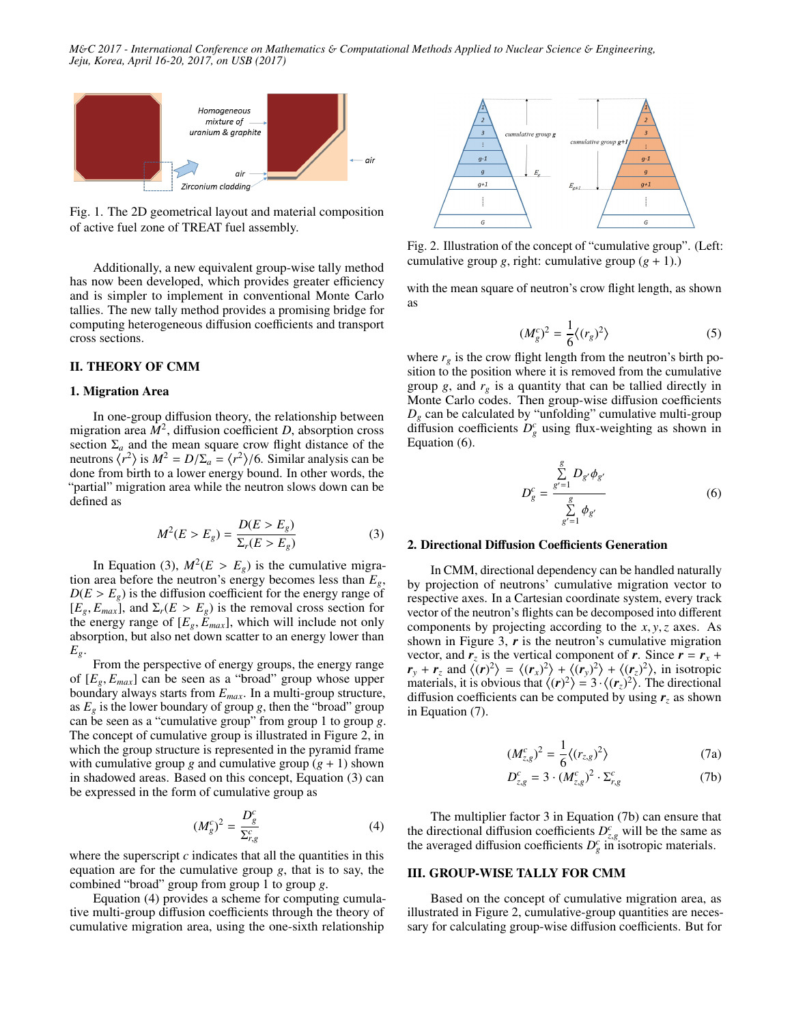*M*&*C 2017 - International Conference on Mathematics* & *Computational Methods Applied to Nuclear Science* & *Engineering, Jeju, Korea, April 16-20, 2017, on USB (2017)*



Fig. 1. The 2D geometrical layout and material composition of active fuel zone of TREAT fuel assembly.

Additionally, a new equivalent group-wise tally method has now been developed, which provides greater efficiency and is simpler to implement in conventional Monte Carlo tallies. The new tally method provides a promising bridge for computing heterogeneous diffusion coefficients and transport cross sections.

#### II. THEORY OF CMM

#### 1. Migration Area

In one-group diffusion theory, the relationship between migration area  $M^2$ , diffusion coefficient *D*, absorption cross section  $\Sigma_a$  and the mean square crow flight distance of the neutrons  $\langle r^2 \rangle$  is  $M^2 = D/\Sigma_a = \langle r^2 \rangle/6$ . Similar analysis can be<br>done from birth to a lower energy bound. In other words, the done from birth to a lower energy bound. In other words, the "partial" migration area while the neutron slows down can be defined as

$$
M^{2}(E > E_{g}) = \frac{D(E > E_{g})}{\Sigma_{r}(E > E_{g})}
$$
(3)

In Equation (3),  $M^2(E > E_g)$  is the cumulative migra-<br>area before the neutron's energy becomes less than  $E_g$ . tion area before the neutron's energy becomes less than *Eg*,  $D(E > E<sub>g</sub>)$  is the diffusion coefficient for the energy range of  $[E_g, E_{max}]$ , and  $\Sigma_r(E > E_g)$  is the removal cross section for the energy range of  $[E<sub>g</sub>, E<sub>max</sub>]$ , which will include not only absorption, but also net down scatter to an energy lower than *Eg*.

From the perspective of energy groups, the energy range of [*E<sup>g</sup>*, *<sup>E</sup>max*] can be seen as a "broad" group whose upper boundary always starts from *Emax*. In a multi-group structure, as  $E_g$  is the lower boundary of group *g*, then the "broad" group can be seen as a "cumulative group" from group 1 to group *g*. The concept of cumulative group is illustrated in Figure 2, in which the group structure is represented in the pyramid frame with cumulative group *g* and cumulative group  $(g + 1)$  shown in shadowed areas. Based on this concept, Equation (3) can be expressed in the form of cumulative group as

$$
(M_g^c)^2 = \frac{D_g^c}{\Sigma_{r,g}^c} \tag{4}
$$

where the superscript  $c$  indicates that all the quantities in this equation are for the cumulative group *g*, that is to say, the combined "broad" group from group 1 to group *g*.

Equation (4) provides a scheme for computing cumulative multi-group diffusion coefficients through the theory of cumulative migration area, using the one-sixth relationship



Fig. 2. Illustration of the concept of "cumulative group". (Left: cumulative group *g*, right: cumulative group  $(g + 1)$ .)

with the mean square of neutron's crow flight length, as shown as

$$
(M_g^c)^2 = \frac{1}{6} \langle (r_g)^2 \rangle \tag{5}
$$

where  $r_g$  is the crow flight length from the neutron's birth position to the position where it is removed from the cumulative group *g*, and  $r_g$  is a quantity that can be tallied directly in Monte Carlo codes. Then group-wise diffusion coefficients  $D_g$  can be calculated by "unfolding" cumulative multi-group diffusion coefficients  $D_g^c$  using flux-weighting as shown in Equation (6).

$$
D_g^c = \frac{\sum_{g'=1}^g D_{g'} \phi_{g'}}{\sum_{g'=1}^g \phi_{g'}}
$$
 (6)

### 2. Directional Diffusion Coefficients Generation

In CMM, directional dependency can be handled naturally by projection of neutrons' cumulative migration vector to respective axes. In a Cartesian coordinate system, every track vector of the neutron's flights can be decomposed into different components by projecting according to the *<sup>x</sup>*, *<sup>y</sup>*,*<sup>z</sup>* axes. As shown in Figure 3,  $r$  is the neutron's cumulative migration vector, and  $r_z$  is the vertical component of *r*. Since  $r = r_x + r_y$  $r_y + r_z$  and  $\langle (r)^2 \rangle = \langle (r_x)^2 \rangle + \langle (r_y)^2 \rangle + \langle (r_z)^2 \rangle$ , in isotropic materials, it is obvious that  $\langle (r)^2 \rangle = 3 \cdot \langle (r_z)^2 \rangle$ . The directional diffusion coefficients can be computed by using  $r<sub>z</sub>$  as shown in Equation (7).

$$
(M_{z,g}^c)^2 = \frac{1}{6} \langle (r_{z,g})^2 \rangle \tag{7a}
$$

$$
D_{z,g}^c = 3 \cdot (M_{z,g}^c)^2 \cdot \Sigma_{r,g}^c \tag{7b}
$$

The multiplier factor 3 in Equation (7b) can ensure that the directional diffusion coefficients  $D_{z,g}^c$  will be the same as<br>the averaged diffusion coefficients  $D^c$  in isotropic materials the averaged diffusion coefficients  $D_g^c$  in isotropic materials.

## III. GROUP-WISE TALLY FOR CMM

Based on the concept of cumulative migration area, as illustrated in Figure 2, cumulative-group quantities are necessary for calculating group-wise diffusion coefficients. But for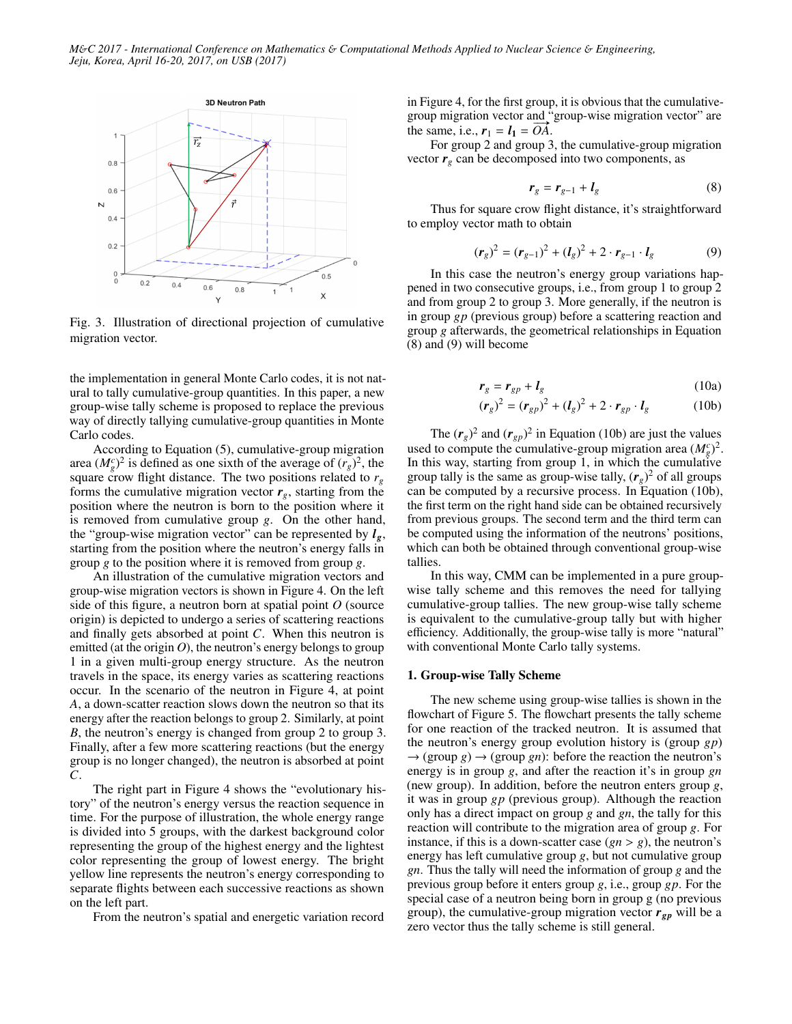

Fig. 3. Illustration of directional projection of cumulative migration vector.

the implementation in general Monte Carlo codes, it is not natural to tally cumulative-group quantities. In this paper, a new group-wise tally scheme is proposed to replace the previous way of directly tallying cumulative-group quantities in Monte Carlo codes.

According to Equation (5), cumulative-group migration area  $(M_g^c)^2$  is defined as one sixth of the average of  $(r_g)^2$ , the square crow flight distance. The two positions related to  $r_g$ forms the cumulative migration vector  $r_g$ , starting from the position where the neutron is born to the position where it is removed from cumulative group *g*. On the other hand, the "group-wise migration vector" can be represented by  $l_g$ , starting from the position where the neutron's energy falls in group *g* to the position where it is removed from group *g*.

An illustration of the cumulative migration vectors and group-wise migration vectors is shown in Figure 4. On the left side of this figure, a neutron born at spatial point *O* (source origin) is depicted to undergo a series of scattering reactions and finally gets absorbed at point *C*. When this neutron is emitted (at the origin  $O$ ), the neutron's energy belongs to group 1 in a given multi-group energy structure. As the neutron travels in the space, its energy varies as scattering reactions occur. In the scenario of the neutron in Figure 4, at point *A*, a down-scatter reaction slows down the neutron so that its energy after the reaction belongs to group 2. Similarly, at point *B*, the neutron's energy is changed from group 2 to group 3. Finally, after a few more scattering reactions (but the energy group is no longer changed), the neutron is absorbed at point *C*.

The right part in Figure 4 shows the "evolutionary history" of the neutron's energy versus the reaction sequence in time. For the purpose of illustration, the whole energy range is divided into 5 groups, with the darkest background color representing the group of the highest energy and the lightest color representing the group of lowest energy. The bright yellow line represents the neutron's energy corresponding to separate flights between each successive reactions as shown on the left part.

From the neutron's spatial and energetic variation record

in Figure 4, for the first group, it is obvious that the cumulativegroup migration vector and "group-wise migration vector" are group migration vector and<br>the same, i.e.,  $r_1 = l_1 = \overrightarrow{OA}$ .

For group 2 and group 3, the cumulative-group migration vector  $r_g$  can be decomposed into two components, as

$$
r_g = r_{g-1} + l_g \tag{8}
$$

Thus for square crow flight distance, it's straightforward to employ vector math to obtain

$$
(\mathbf{r}_g)^2 = (\mathbf{r}_{g-1})^2 + (\mathbf{l}_g)^2 + 2 \cdot \mathbf{r}_{g-1} \cdot \mathbf{l}_g \tag{9}
$$

In this case the neutron's energy group variations happened in two consecutive groups, i.e., from group 1 to group 2 and from group 2 to group 3. More generally, if the neutron is in group *gp* (previous group) before a scattering reaction and group *g* afterwards, the geometrical relationships in Equation (8) and (9) will become

$$
r_g = r_{gp} + l_g \tag{10a}
$$

$$
(\mathbf{r}_g)^2 = (\mathbf{r}_{gp})^2 + (\mathbf{l}_g)^2 + 2 \cdot \mathbf{r}_{gp} \cdot \mathbf{l}_g \tag{10b}
$$

The  $(r_g)^2$  and  $(r_{gp})^2$  in Equation (10b) are just the values used to compute the cumulative-group migration area  $(M_g^c)^2$ . In this way, starting from group 1, in which the cumulative group tally is the same as group-wise tally,  $(r_g)^2$  of all groups can be computed by a recursive process. In Equation (10b), the first term on the right hand side can be obtained recursively from previous groups. The second term and the third term can be computed using the information of the neutrons' positions, which can both be obtained through conventional group-wise tallies.

In this way, CMM can be implemented in a pure groupwise tally scheme and this removes the need for tallying cumulative-group tallies. The new group-wise tally scheme is equivalent to the cumulative-group tally but with higher efficiency. Additionally, the group-wise tally is more "natural" with conventional Monte Carlo tally systems.

#### 1. Group-wise Tally Scheme

The new scheme using group-wise tallies is shown in the flowchart of Figure 5. The flowchart presents the tally scheme for one reaction of the tracked neutron. It is assumed that the neutron's energy group evolution history is (group *gp*)  $\rightarrow$  (group *g*)  $\rightarrow$  (group *gn*): before the reaction the neutron's energy is in group *g*, and after the reaction it's in group *gn* (new group). In addition, before the neutron enters group *g*, it was in group *gp* (previous group). Although the reaction only has a direct impact on group *g* and *gn*, the tally for this reaction will contribute to the migration area of group *g*. For instance, if this is a down-scatter case  $(gn > g)$ , the neutron's energy has left cumulative group *g*, but not cumulative group *gn*. Thus the tally will need the information of group *g* and the previous group before it enters group *g*, i.e., group *gp*. For the special case of a neutron being born in group g (no previous group), the cumulative-group migration vector  $r_{gp}$  will be a zero vector thus the tally scheme is still general.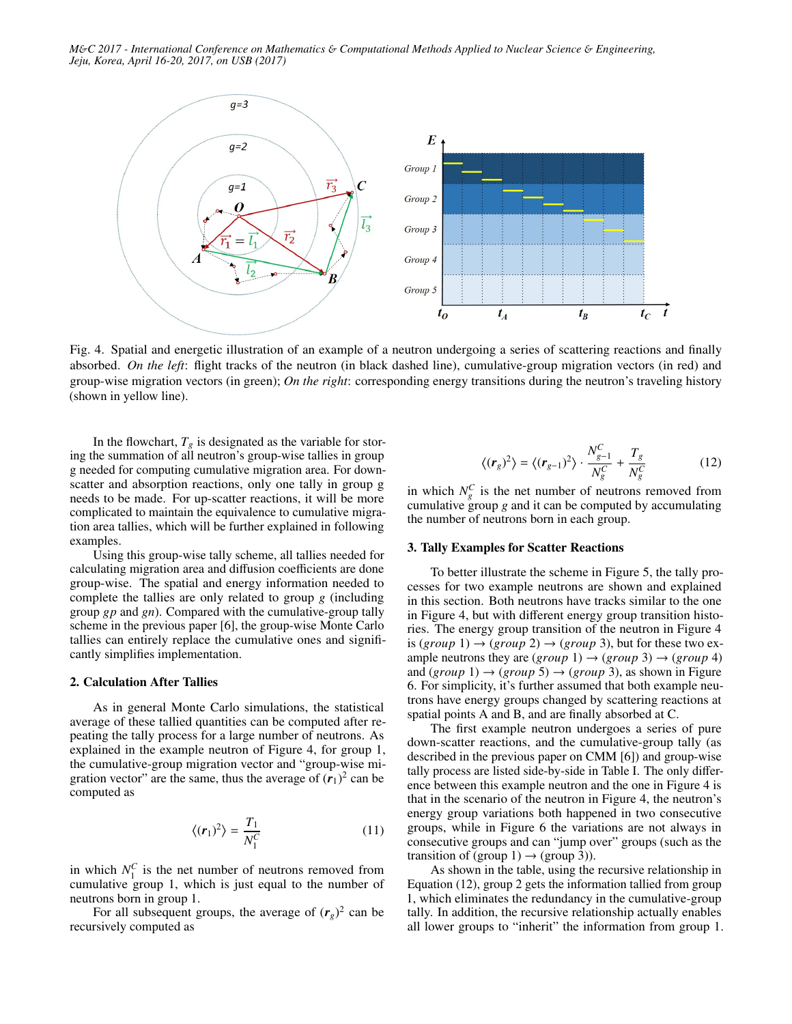

Fig. 4. Spatial and energetic illustration of an example of a neutron undergoing a series of scattering reactions and finally absorbed. *On the left*: flight tracks of the neutron (in black dashed line), cumulative-group migration vectors (in red) and group-wise migration vectors (in green); *On the right*: corresponding energy transitions during the neutron's traveling history (shown in yellow line).

In the flowchart,  $T_g$  is designated as the variable for storing the summation of all neutron's group-wise tallies in group g needed for computing cumulative migration area. For downscatter and absorption reactions, only one tally in group g needs to be made. For up-scatter reactions, it will be more complicated to maintain the equivalence to cumulative migration area tallies, which will be further explained in following examples.

Using this group-wise tally scheme, all tallies needed for calculating migration area and diffusion coefficients are done group-wise. The spatial and energy information needed to complete the tallies are only related to group *g* (including group *gp* and *gn*). Compared with the cumulative-group tally scheme in the previous paper [6], the group-wise Monte Carlo tallies can entirely replace the cumulative ones and significantly simplifies implementation.

## 2. Calculation After Tallies

As in general Monte Carlo simulations, the statistical average of these tallied quantities can be computed after repeating the tally process for a large number of neutrons. As explained in the example neutron of Figure 4, for group 1, the cumulative-group migration vector and "group-wise migration vector" are the same, thus the average of  $(r_1)^2$  can be computed as

$$
\langle (r_1)^2 \rangle = \frac{T_1}{N_1^C} \tag{11}
$$

in which  $N_1^C$  is the net number of neutrons removed from cumulative group 1, which is just equal to the number of neutrons born in group 1.

For all subsequent groups, the average of  $(r_g)^2$  can be recursively computed as

$$
\langle (r_g)^2 \rangle = \langle (r_{g-1})^2 \rangle \cdot \frac{N_{g-1}^C}{N_g^C} + \frac{T_g}{N_g^C} \tag{12}
$$

in which  $N_g^C$  is the net number of neutrons removed from cumulative group *g* and it can be computed by accumulating the number of neutrons born in each group.

#### 3. Tally Examples for Scatter Reactions

To better illustrate the scheme in Figure 5, the tally processes for two example neutrons are shown and explained in this section. Both neutrons have tracks similar to the one in Figure 4, but with different energy group transition histories. The energy group transition of the neutron in Figure 4 is  $(group 1) \rightarrow (group 2) \rightarrow (group 3)$ , but for these two example neutrons they are  $(group 1) \rightarrow (group 3) \rightarrow (group 4)$ and  $(group 1) \rightarrow (group 5) \rightarrow (group 3)$ , as shown in Figure 6. For simplicity, it's further assumed that both example neutrons have energy groups changed by scattering reactions at spatial points A and B, and are finally absorbed at C.

The first example neutron undergoes a series of pure down-scatter reactions, and the cumulative-group tally (as described in the previous paper on CMM [6]) and group-wise tally process are listed side-by-side in Table I. The only difference between this example neutron and the one in Figure 4 is that in the scenario of the neutron in Figure 4, the neutron's energy group variations both happened in two consecutive groups, while in Figure 6 the variations are not always in consecutive groups and can "jump over" groups (such as the transition of (group 1)  $\rightarrow$  (group 3)).

As shown in the table, using the recursive relationship in Equation (12), group 2 gets the information tallied from group 1, which eliminates the redundancy in the cumulative-group tally. In addition, the recursive relationship actually enables all lower groups to "inherit" the information from group 1.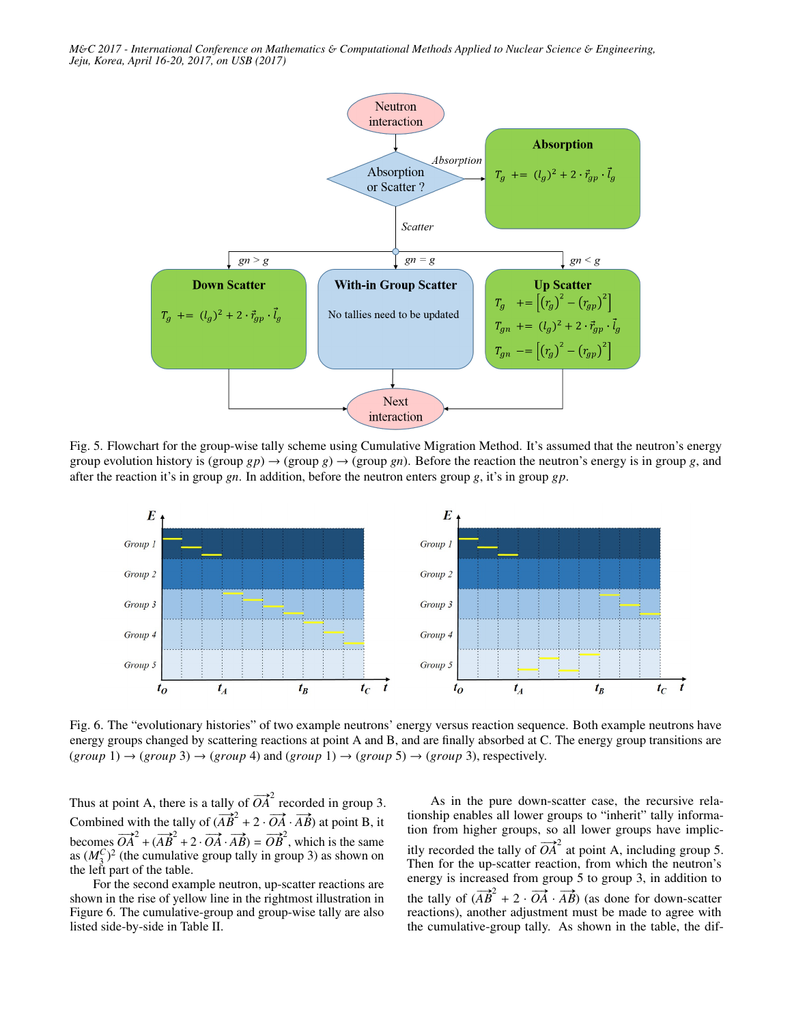

Fig. 5. Flowchart for the group-wise tally scheme using Cumulative Migration Method. It's assumed that the neutron's energy group evolution history is  $(\text{group } gp) \rightarrow (\text{group } g)$ . Gefore the reaction the neutron's energy is in group *g*, and after the reaction it's in group *gn*. In addition, before the neutron enters group *g*, it's in group *gp*.



Fig. 6. The "evolutionary histories" of two example neutrons' energy versus reaction sequence. Both example neutrons have energy groups changed by scattering reactions at point A and B, and are finally absorbed at C. The energy group transitions are  $(group\ 1) \rightarrow (group\ 3) \rightarrow (group\ 4)$  and  $(group\ 1) \rightarrow (group\ 5) \rightarrow (group\ 3)$ , respectively.

Thus at point A, there is a tally of  $\overrightarrow{OA}^2$  recorded in group 3. Combined with the tally of  $\overrightarrow{AB}$  + 2 ·  $\overrightarrow{OA}$  ·  $\overrightarrow{AB}$ ) at point B, it becomes  $\overrightarrow{OA}^2 + (\overrightarrow{AB}^2 + 2 \cdot \overrightarrow{OA} \cdot \overrightarrow{AB}) = \overrightarrow{OB}^2$ , which is the same as  $(M_3^C)^2$  (the cumulative group tally in group 3) as shown on the left part of the table.

For the second example neutron, up-scatter reactions are shown in the rise of yellow line in the rightmost illustration in Figure 6. The cumulative-group and group-wise tally are also listed side-by-side in Table II.

As in the pure down-scatter case, the recursive relationship enables all lower groups to "inherit" tally information from higher groups, so all lower groups have implicitly recorded the tally of  $\overline{OA}^2$  at point A, including group 5. Then for the up-scatter reaction, from which the neutron's energy is increased from group 5 to group 3, in addition to the tally of  $(\overrightarrow{AB}^2 + 2 \cdot \overrightarrow{OA} \cdot \overrightarrow{AB})$  (as done for down-scatter reactions), another adjustment must be made to agree with the cumulative-group tally. As shown in the table, the dif-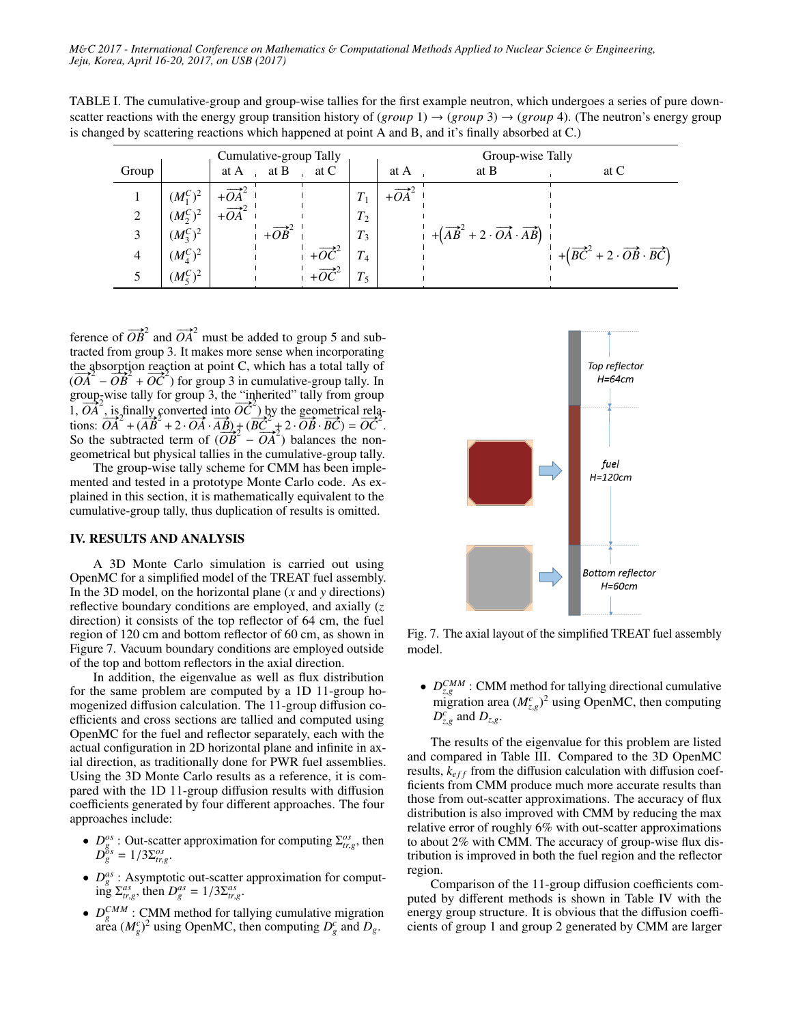TABLE I. The cumulative-group and group-wise tallies for the first example neutron, which undergoes a series of pure downscatter reactions with the energy group transition history of  $(group 1) \rightarrow (group 3) \rightarrow (group 4)$ . (The neutron's energy group is changed by scattering reactions which happened at point A and B, and it's finally absorbed at C.)

| Cumulative-group Tally |                   |       |                          |                          |         | Group-wise Tally |                                                                   |                                                                                     |  |
|------------------------|-------------------|-------|--------------------------|--------------------------|---------|------------------|-------------------------------------------------------------------|-------------------------------------------------------------------------------------|--|
| Group                  |                   | at A  | at B                     | at C                     |         | at A             | at B                                                              | at C                                                                                |  |
|                        | $(M_1^C)^2$       |       |                          |                          |         |                  |                                                                   |                                                                                     |  |
| 2                      | $(M_{2}^{C})^{2}$ | $+OA$ |                          |                          | $T_2$   |                  |                                                                   |                                                                                     |  |
|                        | $(M_3^C)^2$       |       | $+\overrightarrow{OB}^2$ |                          | $T_3$   |                  | $+ (AB2 + 2 \cdot \overrightarrow{OA} \cdot \overrightarrow{AB})$ |                                                                                     |  |
|                        | $(M_4^C)^2$       |       |                          | $+\overrightarrow{OC}^2$ | $T_{4}$ |                  |                                                                   | $+ (\overrightarrow{BC}^2 + 2 \cdot \overrightarrow{OB} \cdot \overrightarrow{BC})$ |  |
|                        | $(M_{5}^{C})^{2}$ |       |                          |                          | $T_{5}$ |                  |                                                                   |                                                                                     |  |

ference of  $\overrightarrow{OB}^2$  and  $\overrightarrow{OA}^2$  must be added to group 5 and subtracted from group 3. It makes more sense when incorporating the absorption reaction at point C, which has a total tally of  $(\overrightarrow{OA}^2 - \overrightarrow{OB}^2 + \overrightarrow{OC}^2)$  for group 3 in cumulative-group tally. In group-wise tally for group 3, the "inherited" tally from group group-wise taily for group 3, the "inherited" taily from group<br>1,  $\overrightarrow{OA}$ , is finally converted into  $\overrightarrow{OC}$ ) by the geometrical rela-<br>tions:  $\overrightarrow{OA}^2 + (\overrightarrow{AB}^2 + 2 \cdot \overrightarrow{OA} \cdot \overrightarrow{AB}) + (\overrightarrow{BC}^2 + 2 \cdot \overrightarrow{OB} \cdot \overrightarrow{BC}) = \overrightarrow{OC}^2$ . tions: *OA* +  $(AB + 2 \cdot OA \cdot AB) + (BC + 2 \cdot OB \cdot BC) = OC$ .<br>So the subtracted term of  $(\overrightarrow{OB} - \overrightarrow{OA}^2)$  balances the nongeometrical but physical tallies in the cumulative-group tally.

The group-wise tally scheme for CMM has been implemented and tested in a prototype Monte Carlo code. As explained in this section, it is mathematically equivalent to the cumulative-group tally, thus duplication of results is omitted.

## IV. RESULTS AND ANALYSIS

A 3D Monte Carlo simulation is carried out using OpenMC for a simplified model of the TREAT fuel assembly. In the 3D model, on the horizontal plane (*x* and *y* directions) reflective boundary conditions are employed, and axially (*z* direction) it consists of the top reflector of 64 cm, the fuel region of 120 cm and bottom reflector of 60 cm, as shown in Figure 7. Vacuum boundary conditions are employed outside of the top and bottom reflectors in the axial direction.

In addition, the eigenvalue as well as flux distribution for the same problem are computed by a 1D 11-group homogenized diffusion calculation. The 11-group diffusion coefficients and cross sections are tallied and computed using OpenMC for the fuel and reflector separately, each with the actual configuration in 2D horizontal plane and infinite in axial direction, as traditionally done for PWR fuel assemblies. Using the 3D Monte Carlo results as a reference, it is compared with the 1D 11-group diffusion results with diffusion coefficients generated by four different approaches. The four approaches include:

- $D_{gs}^{gs}$ : Out-scatter approximation for computing  $\Sigma_{tr,g}^{os}$ , then  $D_{gs}^{gs}$  1/3 $\nabla_{gs}^{os}$  $D_g^{\delta s} = 1/3 \Sigma_{tr,g}^{os}$ .
- $D_g^{as}$ : Asymptotic out-scatter approximation for comput- $\lim_{s \to s} \sum_{t, g}^{as} f(t, s) = 1/3 \sum_{t, g}^{as}$ .
- $D_g^{CMM}$  : CMM method for tallying cumulative migration area  $(M_g^c)^2$  using OpenMC, then computing  $D_g^c$  and  $D_g$ .



Fig. 7. The axial layout of the simplified TREAT fuel assembly model.

•  $D_{z,g}^{CMM}$ : CMM method for tallying directional cumulative<br>migration area  $(M^c)^2$  using OpenMC, then computing migration area  $(M_{z,g}^c)^2$  using OpenMC, then computing  $D^c$  and D  $D_{z,g}^c$  and  $D_{z,g}$ .

The results of the eigenvalue for this problem are listed and compared in Table III. Compared to the 3D OpenMC results,  $k_{eff}$  from the diffusion calculation with diffusion coefficients from CMM produce much more accurate results than those from out-scatter approximations. The accuracy of flux distribution is also improved with CMM by reducing the max relative error of roughly 6% with out-scatter approximations to about 2% with CMM. The accuracy of group-wise flux distribution is improved in both the fuel region and the reflector region.

Comparison of the 11-group diffusion coefficients computed by different methods is shown in Table IV with the energy group structure. It is obvious that the diffusion coefficients of group 1 and group 2 generated by CMM are larger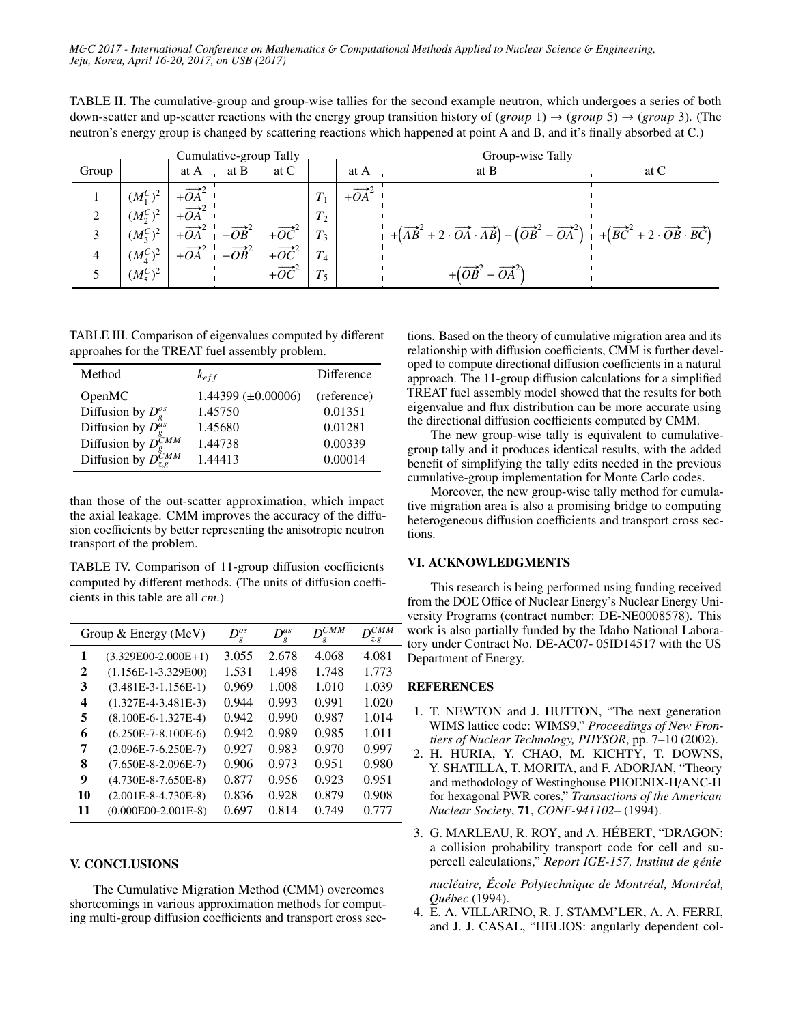TABLE II. The cumulative-group and group-wise tallies for the second example neutron, which undergoes a series of both down-scatter and up-scatter reactions with the energy group transition history of (*group* 1) → (*group* 5) → (*group* 3). (The neutron's energy group is changed by scattering reactions which happened at point A and B, and it's finally absorbed at C.)

| Cumulative-group Tally |                      |                                                                                                                                                                                                                                                                                                             |                          |       | Group-wise Tally |                                                                                                                                                                                                                                       |      |  |
|------------------------|----------------------|-------------------------------------------------------------------------------------------------------------------------------------------------------------------------------------------------------------------------------------------------------------------------------------------------------------|--------------------------|-------|------------------|---------------------------------------------------------------------------------------------------------------------------------------------------------------------------------------------------------------------------------------|------|--|
| Group                  |                      | at $A$<br>at B                                                                                                                                                                                                                                                                                              | at C                     |       | at A             | at B                                                                                                                                                                                                                                  | at C |  |
|                        | $(M_1^C)^2$          |                                                                                                                                                                                                                                                                                                             |                          |       |                  |                                                                                                                                                                                                                                       |      |  |
|                        | $(M_2^C)^2$          |                                                                                                                                                                                                                                                                                                             |                          | $T_2$ |                  |                                                                                                                                                                                                                                       |      |  |
|                        | $(M_3^C)^2$          | $\begin{vmatrix} +\overrightarrow{OA} & -\overrightarrow{OB} & +\overrightarrow{OC}^2 \\ +\overrightarrow{OA}^2 & -\overrightarrow{OB}^2 & +\overrightarrow{OC}^2 \\ +\overrightarrow{OA}^2 & -\overrightarrow{OB}^2 & +\overrightarrow{OC}^2 \end{vmatrix} \begin{vmatrix} 12 \\ T_3 \\ T_4 \end{vmatrix}$ |                          |       |                  | $+\left(\overrightarrow{AB}^2+2\cdot\overrightarrow{OA}\cdot\overrightarrow{AB}\right)-\left(\overrightarrow{OB}^2-\overrightarrow{OA}^2\right)+\left(\overrightarrow{BC}^2+2\cdot\overrightarrow{OB}\cdot\overrightarrow{BC}\right)$ |      |  |
|                        | $(M_{4}^{C})^{2}$    |                                                                                                                                                                                                                                                                                                             |                          |       |                  |                                                                                                                                                                                                                                       |      |  |
|                        | $(M_{\epsilon}^C)^2$ |                                                                                                                                                                                                                                                                                                             | $+\overrightarrow{OC}^2$ |       |                  | $+(\overrightarrow{OB}^2 - \overrightarrow{OA}^2)$                                                                                                                                                                                    |      |  |

TABLE III. Comparison of eigenvalues computed by different approahes for the TREAT fuel assembly problem.

| Method                                                                                                            | $k_{eff}$                 | Difference  |
|-------------------------------------------------------------------------------------------------------------------|---------------------------|-------------|
| OpenMC                                                                                                            | $1.44399 \ (\pm 0.00006)$ | (reference) |
| Diffusion by $D_g^{\circ s}$                                                                                      | 1.45750                   | 0.01351     |
| Diffusion by $D_g^{\alpha s}$<br>Diffusion by $D_g^{\tilde{C}MM}$<br>Diffusion by $D_{\tilde{c},g}^{\tilde{C}MM}$ | 1.45680                   | 0.01281     |
|                                                                                                                   | 1.44738                   | 0.00339     |
|                                                                                                                   | 1.44413                   | 0.00014     |

than those of the out-scatter approximation, which impact the axial leakage. CMM improves the accuracy of the diffusion coefficients by better representing the anisotropic neutron transport of the problem.

TABLE IV. Comparison of 11-group diffusion coefficients computed by different methods. (The units of diffusion coefficients in this table are all *cm*.)

| Group $&$ Energy (MeV) |                             | $D_g^{os}$ | $D_g^{as}$ | $D^{CMM}$ | <i>CMM</i><br>z, g |
|------------------------|-----------------------------|------------|------------|-----------|--------------------|
| 1                      | $(3.329E00-2.000E+1)$       | 3.055      | 2.678      | 4.068     | 4.081              |
| 2                      | $(1.156E-1-3.329E00)$       | 1.531      | 1.498      | 1.748     | 1.773              |
| 3                      | $(3.481E-3-1.156E-1)$       | 0.969      | 1.008      | 1.010     | 1.039              |
| 4                      | $(1.327E-4-3.481E-3)$       | 0.944      | 0.993      | 0.991     | 1.020              |
| 5                      | $(8.100E-6-1.327E-4)$       | 0.942      | 0.990      | 0.987     | 1.014              |
| 6                      | $(6.250E-7-8.100E-6)$       | 0.942      | 0.989      | 0.985     | 1.011              |
| 7                      | $(2.096E - 7 - 6.250E - 7)$ | 0.927      | 0.983      | 0.970     | 0.997              |
| 8                      | $(7.650E-8-2.096E-7)$       | 0.906      | 0.973      | 0.951     | 0.980              |
| 9                      | $(4.730E-8-7.650E-8)$       | 0.877      | 0.956      | 0.923     | 0.951              |
| 10                     | $(2.001E-8-4.730E-8)$       | 0.836      | 0.928      | 0.879     | 0.908              |
| 11                     | $(0.000E00-2.001E-8)$       | 0.697      | 0.814      | 0.749     | 0.777              |

# V. CONCLUSIONS

The Cumulative Migration Method (CMM) overcomes shortcomings in various approximation methods for computing multi-group diffusion coefficients and transport cross sections. Based on the theory of cumulative migration area and its relationship with diffusion coefficients, CMM is further developed to compute directional diffusion coefficients in a natural approach. The 11-group diffusion calculations for a simplified TREAT fuel assembly model showed that the results for both eigenvalue and flux distribution can be more accurate using the directional diffusion coefficients computed by CMM.

The new group-wise tally is equivalent to cumulativegroup tally and it produces identical results, with the added benefit of simplifying the tally edits needed in the previous cumulative-group implementation for Monte Carlo codes.

Moreover, the new group-wise tally method for cumulative migration area is also a promising bridge to computing heterogeneous diffusion coefficients and transport cross sections.

### VI. ACKNOWLEDGMENTS

This research is being performed using funding received from the DOE Office of Nuclear Energy's Nuclear Energy University Programs (contract number: DE-NE0008578). This work is also partially funded by the Idaho National Labora-- tory under Contract No. DE-AC07-05ID14517 with the US Department of Energy.

# REFERENCES

- 1. T. NEWTON and J. HUTTON, "The next generation WIMS lattice code: WIMS9," *Proceedings of New Frontiers of Nuclear Technology, PHYSOR*, pp. 7–10 (2002).
- 2. H. HURIA, Y. CHAO, M. KICHTY, T. DOWNS, Y. SHATILLA, T. MORITA, and F. ADORJAN, "Theory and methodology of Westinghouse PHOENIX-H/ANC-H for hexagonal PWR cores," *Transactions of the American Nuclear Society*, 71, *CONF-941102–* (1994).
- 3. G. MARLEAU, R. ROY, and A. HÉBERT, "DRAGON: a collision probability transport code for cell and supercell calculations," *Report IGE-157, Institut de génie*

*nucléaire, École Polytechnique de Montréal, Montréal, Québec* (1994).

4. E. A. VILLARINO, R. J. STAMM'LER, A. A. FERRI, and J. J. CASAL, "HELIOS: angularly dependent col-